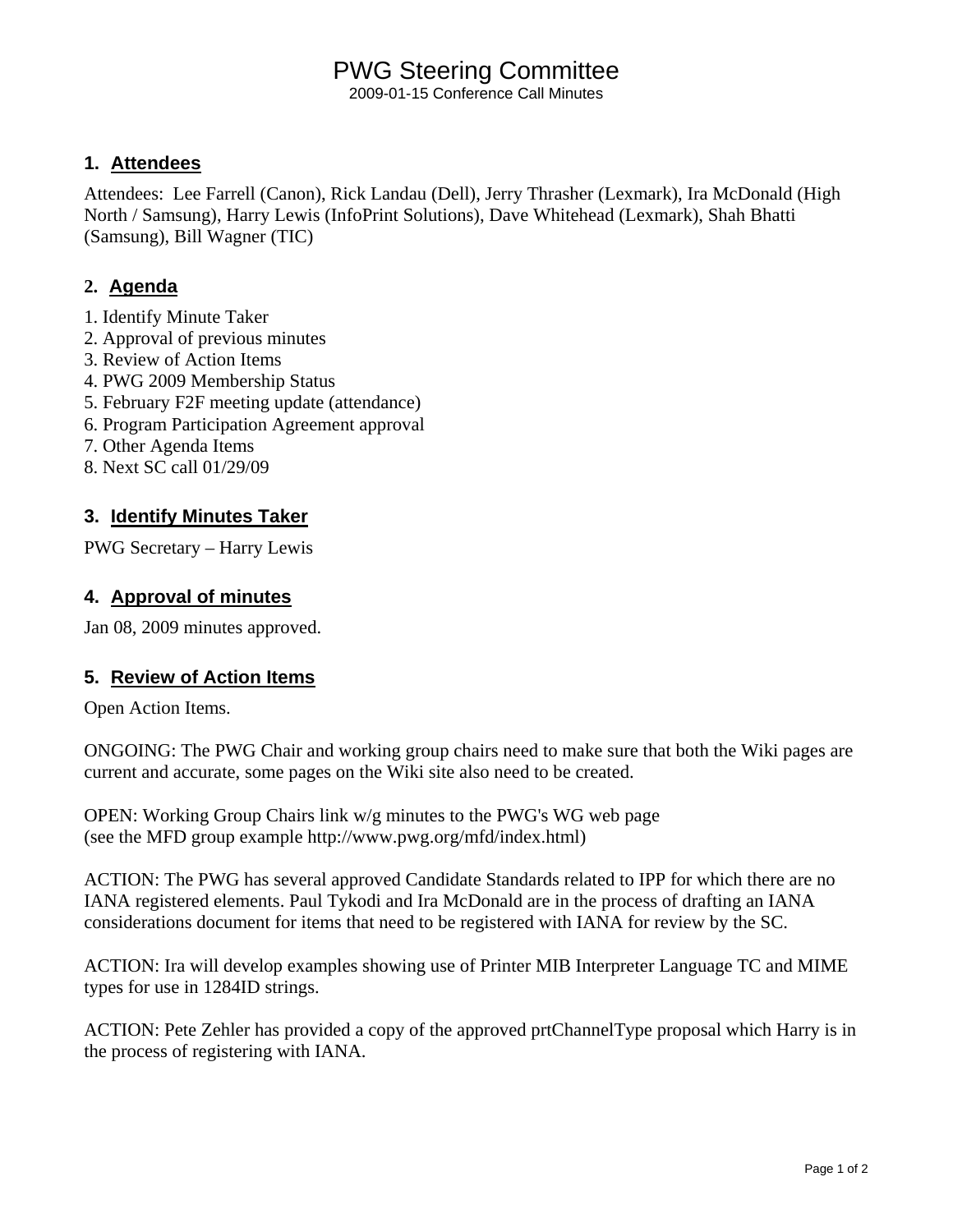## PWG Steering Committee

2009-01-15 Conference Call Minutes

### **1. Attendees**

Attendees: Lee Farrell (Canon), Rick Landau (Dell), Jerry Thrasher (Lexmark), Ira McDonald (High North / Samsung), Harry Lewis (InfoPrint Solutions), Dave Whitehead (Lexmark), Shah Bhatti (Samsung), Bill Wagner (TIC)

## **2. Agenda**

- 1. Identify Minute Taker
- 2. Approval of previous minutes
- 3. Review of Action Items
- 4. PWG 2009 Membership Status
- 5. February F2F meeting update (attendance)
- 6. Program Participation Agreement approval
- 7. Other Agenda Items
- 8. Next SC call 01/29/09

## **3. Identify Minutes Taker**

PWG Secretary – Harry Lewis

## **4. Approval of minutes**

Jan 08, 2009 minutes approved.

### **5. Review of Action Items**

Open Action Items.

ONGOING: The PWG Chair and working group chairs need to make sure that both the Wiki pages are current and accurate, some pages on the Wiki site also need to be created.

OPEN: Working Group Chairs link w/g minutes to the PWG's WG web page (see the MFD group example http://www.pwg.org/mfd/index.html)

ACTION: The PWG has several approved Candidate Standards related to IPP for which there are no IANA registered elements. Paul Tykodi and Ira McDonald are in the process of drafting an IANA considerations document for items that need to be registered with IANA for review by the SC.

ACTION: Ira will develop examples showing use of Printer MIB Interpreter Language TC and MIME types for use in 1284ID strings.

ACTION: Pete Zehler has provided a copy of the approved prtChannelType proposal which Harry is in the process of registering with IANA.